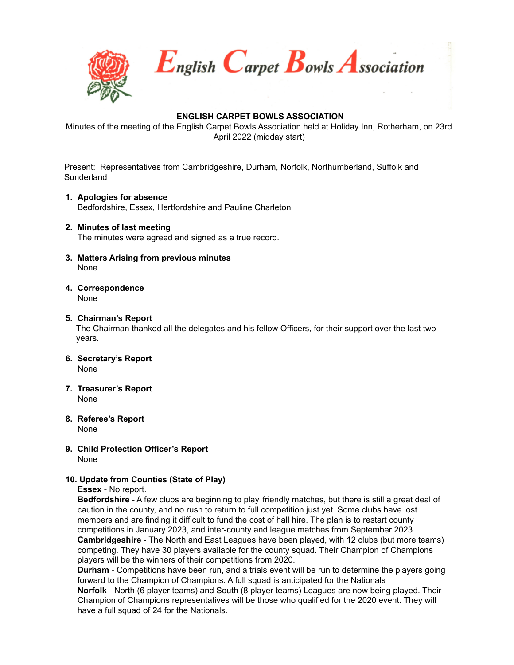

English Carpet Bowls Association

# **ENGLISH CARPET BOWLS ASSOCIATION**

Minutes of the meeting of the English Carpet Bowls Association held at Holiday Inn, Rotherham, on 23rd April 2022 (midday start)

Present: Representatives from Cambridgeshire, Durham, Norfolk, Northumberland, Suffolk and **Sunderland** 

- **1. Apologies for absence** Bedfordshire, Essex, Hertfordshire and Pauline Charleton
- **2. Minutes of last meeting** The minutes were agreed and signed as a true record.
- **3. Matters Arising from previous minutes** None
- **4. Correspondence** None
- **5. Chairman's Report**

The Chairman thanked all the delegates and his fellow Officers, for their support over the last two years.

- **6. Secretary's Report** None
- **7. Treasurer's Report** None
- **8. Referee's Report** None
- **9. Child Protection Officer's Report** None

#### **10. Update from Counties (State of Play)**

**Essex** - No report.

**Bedfordshire** - A few clubs are beginning to play friendly matches, but there is still a great deal of caution in the county, and no rush to return to full competition just yet. Some clubs have lost members and are finding it difficult to fund the cost of hall hire. The plan is to restart county competitions in January 2023, and inter-county and league matches from September 2023. **Cambridgeshire** - The North and East Leagues have been played, with 12 clubs (but more teams) competing. They have 30 players available for the county squad. Their Champion of Champions players will be the winners of their competitions from 2020.

**Durham** - Competitions have been run, and a trials event will be run to determine the players going forward to the Champion of Champions. A full squad is anticipated for the Nationals

**Norfolk** - North (6 player teams) and South (8 player teams) Leagues are now being played. Their Champion of Champions representatives will be those who qualified for the 2020 event. They will have a full squad of 24 for the Nationals.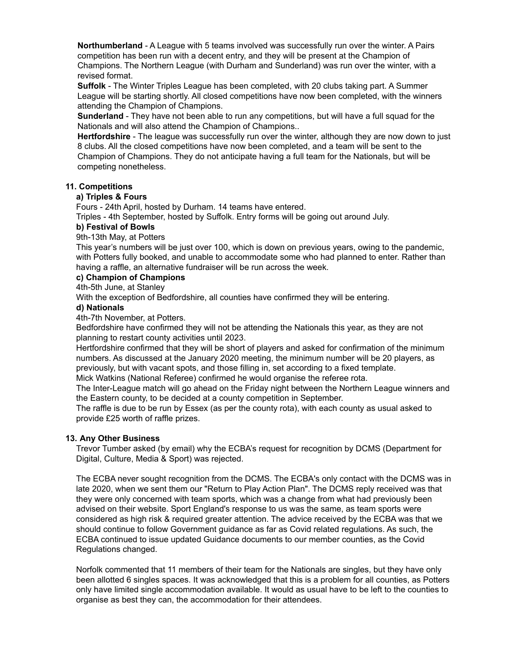**Northumberland** - A League with 5 teams involved was successfully run over the winter. A Pairs competition has been run with a decent entry, and they will be present at the Champion of Champions. The Northern League (with Durham and Sunderland) was run over the winter, with a revised format.

**Suffolk** - The Winter Triples League has been completed, with 20 clubs taking part. A Summer League will be starting shortly. All closed competitions have now been completed, with the winners attending the Champion of Champions.

**Sunderland** - They have not been able to run any competitions, but will have a full squad for the Nationals and will also attend the Champion of Champions..

**Hertfordshire** - The league was successfully run over the winter, although they are now down to just 8 clubs. All the closed competitions have now been completed, and a team will be sent to the Champion of Champions. They do not anticipate having a full team for the Nationals, but will be competing nonetheless.

# **11. Competitions**

### **a) Triples & Fours**

Fours - 24th April, hosted by Durham. 14 teams have entered.

Triples - 4th September, hosted by Suffolk. Entry forms will be going out around July.

### **b) Festival of Bowls**

9th-13th May, at Potters

This year's numbers will be just over 100, which is down on previous years, owing to the pandemic, with Potters fully booked, and unable to accommodate some who had planned to enter. Rather than having a raffle, an alternative fundraiser will be run across the week.

## **c) Champion of Champions**

4th-5th June, at Stanley

With the exception of Bedfordshire, all counties have confirmed they will be entering.

### **d) Nationals**

4th-7th November, at Potters.

Bedfordshire have confirmed they will not be attending the Nationals this year, as they are not planning to restart county activities until 2023.

Hertfordshire confirmed that they will be short of players and asked for confirmation of the minimum numbers. As discussed at the January 2020 meeting, the minimum number will be 20 players, as previously, but with vacant spots, and those filling in, set according to a fixed template.

Mick Watkins (National Referee) confirmed he would organise the referee rota.

The Inter-League match will go ahead on the Friday night between the Northern League winners and the Eastern county, to be decided at a county competition in September.

The raffle is due to be run by Essex (as per the county rota), with each county as usual asked to provide £25 worth of raffle prizes.

# **13. Any Other Business**

Trevor Tumber asked (by email) why the ECBA's request for recognition by DCMS (Department for Digital, Culture, Media & Sport) was rejected.

The ECBA never sought recognition from the DCMS. The ECBA's only contact with the DCMS was in late 2020, when we sent them our "Return to Play Action Plan". The DCMS reply received was that they were only concerned with team sports, which was a change from what had previously been advised on their website. Sport England's response to us was the same, as team sports were considered as high risk & required greater attention. The advice received by the ECBA was that we should continue to follow Government guidance as far as Covid related regulations. As such, the ECBA continued to issue updated Guidance documents to our member counties, as the Covid Regulations changed.

Norfolk commented that 11 members of their team for the Nationals are singles, but they have only been allotted 6 singles spaces. It was acknowledged that this is a problem for all counties, as Potters only have limited single accommodation available. It would as usual have to be left to the counties to organise as best they can, the accommodation for their attendees.